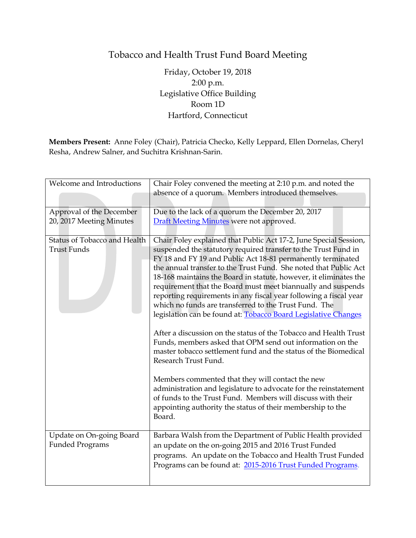## Tobacco and Health Trust Fund Board Meeting

Friday, October 19, 2018 2:00 p.m. Legislative Office Building Room 1D Hartford, Connecticut

**Members Present:** Anne Foley (Chair), Patricia Checko, Kelly Leppard, Ellen Dornelas, Cheryl Resha, Andrew Salner, and Suchitra Krishnan-Sarin.

| Welcome and Introductions                          | Chair Foley convened the meeting at 2:10 p.m. and noted the<br>absence of a quorum. Members introduced themselves.                                                                                                                                                                                                                                                                                                                                                                                                                                                                                                                                                                                                                                                        |
|----------------------------------------------------|---------------------------------------------------------------------------------------------------------------------------------------------------------------------------------------------------------------------------------------------------------------------------------------------------------------------------------------------------------------------------------------------------------------------------------------------------------------------------------------------------------------------------------------------------------------------------------------------------------------------------------------------------------------------------------------------------------------------------------------------------------------------------|
| Approval of the December                           | Due to the lack of a quorum the December 20, 2017                                                                                                                                                                                                                                                                                                                                                                                                                                                                                                                                                                                                                                                                                                                         |
| 20, 2017 Meeting Minutes                           | Draft Meeting Minutes were not approved.                                                                                                                                                                                                                                                                                                                                                                                                                                                                                                                                                                                                                                                                                                                                  |
| Status of Tobacco and Health                       | Chair Foley explained that Public Act 17-2, June Special Session,                                                                                                                                                                                                                                                                                                                                                                                                                                                                                                                                                                                                                                                                                                         |
| <b>Trust Funds</b>                                 | suspended the statutory required transfer to the Trust Fund in<br>FY 18 and FY 19 and Public Act 18-81 permanently terminated<br>the annual transfer to the Trust Fund. She noted that Public Act<br>18-168 maintains the Board in statute, however, it eliminates the<br>requirement that the Board must meet biannually and suspends<br>reporting requirements in any fiscal year following a fiscal year<br>which no funds are transferred to the Trust Fund. The<br>legislation can be found at: <b>Tobacco Board Legislative Changes</b><br>After a discussion on the status of the Tobacco and Health Trust<br>Funds, members asked that OPM send out information on the<br>master tobacco settlement fund and the status of the Biomedical<br>Research Trust Fund. |
|                                                    | Members commented that they will contact the new<br>administration and legislature to advocate for the reinstatement<br>of funds to the Trust Fund. Members will discuss with their<br>appointing authority the status of their membership to the<br>Board.                                                                                                                                                                                                                                                                                                                                                                                                                                                                                                               |
| Update on On-going Board<br><b>Funded Programs</b> | Barbara Walsh from the Department of Public Health provided<br>an update on the on-going 2015 and 2016 Trust Funded<br>programs. An update on the Tobacco and Health Trust Funded<br>Programs can be found at: 2015-2016 Trust Funded Programs.                                                                                                                                                                                                                                                                                                                                                                                                                                                                                                                           |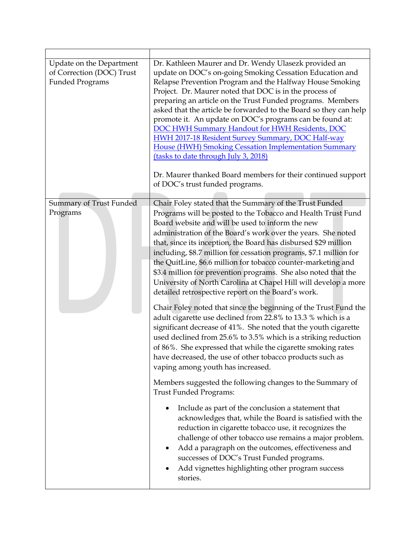| Update on the Department<br>of Correction (DOC) Trust<br><b>Funded Programs</b> | Dr. Kathleen Maurer and Dr. Wendy Ulasezk provided an<br>update on DOC's on-going Smoking Cessation Education and<br>Relapse Prevention Program and the Halfway House Smoking<br>Project. Dr. Maurer noted that DOC is in the process of<br>preparing an article on the Trust Funded programs. Members<br>asked that the article be forwarded to the Board so they can help<br>promote it. An update on DOC's programs can be found at:<br><b>DOC HWH Summary Handout for HWH Residents, DOC</b><br><b>HWH 2017-18 Resident Survey Summary, DOC Half-way</b><br>House (HWH) Smoking Cessation Implementation Summary<br>(tasks to date through July 3, 2018)<br>Dr. Maurer thanked Board members for their continued support<br>of DOC's trust funded programs.                                                                                                                                                                                                                                                                  |
|---------------------------------------------------------------------------------|----------------------------------------------------------------------------------------------------------------------------------------------------------------------------------------------------------------------------------------------------------------------------------------------------------------------------------------------------------------------------------------------------------------------------------------------------------------------------------------------------------------------------------------------------------------------------------------------------------------------------------------------------------------------------------------------------------------------------------------------------------------------------------------------------------------------------------------------------------------------------------------------------------------------------------------------------------------------------------------------------------------------------------|
|                                                                                 | Chair Foley stated that the Summary of the Trust Funded                                                                                                                                                                                                                                                                                                                                                                                                                                                                                                                                                                                                                                                                                                                                                                                                                                                                                                                                                                          |
| Summary of Trust Funded<br>Programs                                             | Programs will be posted to the Tobacco and Health Trust Fund<br>Board website and will be used to inform the new<br>administration of the Board's work over the years. She noted<br>that, since its inception, the Board has disbursed \$29 million<br>including, \$8.7 million for cessation programs, \$7.1 million for<br>the QuitLine, \$6.6 million for tobacco counter-marketing and<br>\$3.4 million for prevention programs. She also noted that the<br>University of North Carolina at Chapel Hill will develop a more<br>detailed retrospective report on the Board's work.<br>Chair Foley noted that since the beginning of the Trust Fund the<br>adult cigarette use declined from 22.8% to 13.3 % which is a<br>significant decrease of 41%. She noted that the youth cigarette<br>used declined from 25.6% to 3.5% which is a striking reduction<br>of 86%. She expressed that while the cigarette smoking rates<br>have decreased, the use of other tobacco products such as<br>vaping among youth has increased. |
|                                                                                 | Members suggested the following changes to the Summary of<br><b>Trust Funded Programs:</b>                                                                                                                                                                                                                                                                                                                                                                                                                                                                                                                                                                                                                                                                                                                                                                                                                                                                                                                                       |
|                                                                                 | Include as part of the conclusion a statement that<br>acknowledges that, while the Board is satisfied with the<br>reduction in cigarette tobacco use, it recognizes the<br>challenge of other tobacco use remains a major problem.<br>Add a paragraph on the outcomes, effectiveness and<br>successes of DOC's Trust Funded programs.<br>Add vignettes highlighting other program success<br>stories.                                                                                                                                                                                                                                                                                                                                                                                                                                                                                                                                                                                                                            |